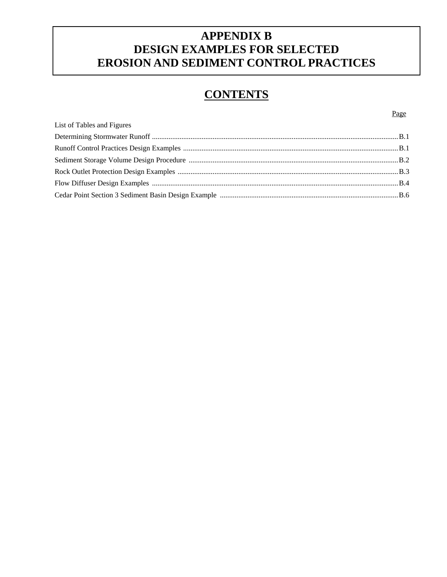### **APPENDIX B DESIGN EXAMPLES FOR SELECTED EROSION AND SEDIMENT CONTROL PRACTICES**

## **CONTENTS**

Page

|                            | Page |
|----------------------------|------|
| List of Tables and Figures |      |
|                            |      |
|                            |      |
|                            |      |
|                            |      |
|                            |      |
|                            |      |
|                            |      |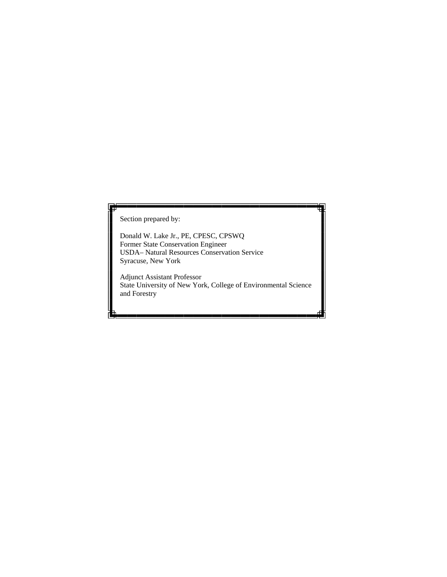Section prepared by:

Donald W. Lake Jr., PE, CPESC, CPSWQ Former State Conservation Engineer USDA– Natural Resources Conservation Service Syracuse, New York

Adjunct Assistant Professor State University of New York, College of Environmental Science and Forestry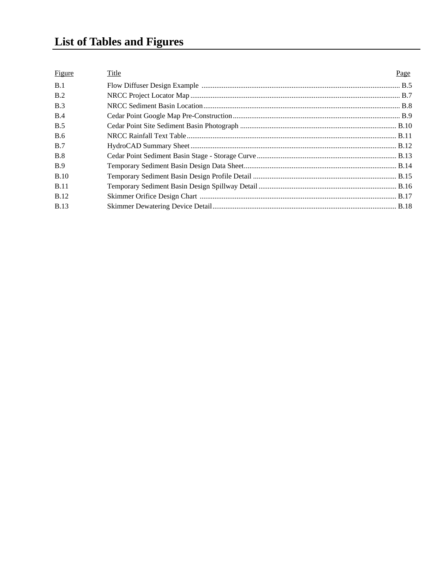# **List of Tables and Figures**

| <b>Figure</b> | Title | Page |
|---------------|-------|------|
| B.1           |       |      |
| B.2           |       |      |
| B.3           |       |      |
| B.4           |       |      |
| <b>B.5</b>    |       |      |
| <b>B.6</b>    |       |      |
| B.7           |       |      |
| <b>B.8</b>    |       |      |
| <b>B.9</b>    |       |      |
| <b>B.10</b>   |       |      |
| <b>B.11</b>   |       |      |
| <b>B.12</b>   |       |      |
| <b>B.13</b>   |       |      |
|               |       |      |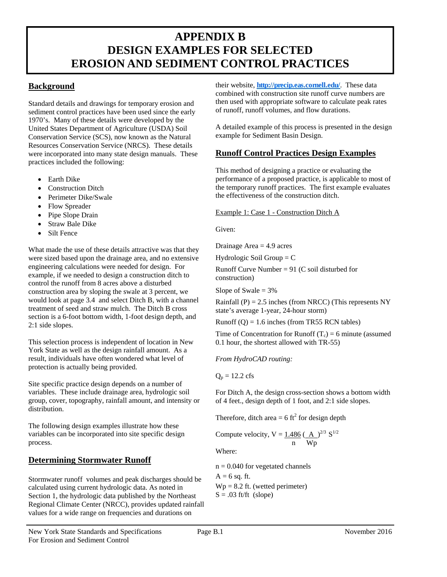### **APPENDIX B DESIGN EXAMPLES FOR SELECTED EROSION AND SEDIMENT CONTROL PRACTICES**

### **Background**

Standard details and drawings for temporary erosion and sediment control practices have been used since the early 1970's. Many of these details were developed by the United States Department of Agriculture (USDA) Soil Conservation Service (SCS), now known as the Natural Resources Conservation Service (NRCS). These details were incorporated into many state design manuals. These practices included the following:

- Earth Dike
- Construction Ditch
- Perimeter Dike/Swale
- Flow Spreader
- Pipe Slope Drain
- Straw Bale Dike
- Silt Fence

 section is a 6-foot bottom width, 1-foot design depth, and What made the use of these details attractive was that they were sized based upon the drainage area, and no extensive engineering calculations were needed for design. For example, if we needed to design a construction ditch to control the runoff from 8 acres above a disturbed construction area by sloping the swale at 3 percent, we would look at page 3.4 and select Ditch B, with a channel treatment of seed and straw mulch. The Ditch B cross 2:1 side slopes.

 York State as well as the design rainfall amount. As a result, individuals have often wondered what level of This selection process is independent of location in New protection is actually being provided.

Site specific practice design depends on a number of variables. These include drainage area, hydrologic soil group, cover, topography, rainfall amount, and intensity or distribution.

The following design examples illustrate how these variables can be incorporated into site specific design process.

### **Determining Stormwater Runoff**

 Stormwater runoff volumes and peak discharges should be Section 1, the hydrologic data published by the Northeast Regional Climate Center (NRCC), provides updated rainfall Regional Climate Center (NRCC), provides updated rainfall values for a wide range on frequencies and durations on calculated using current hydrologic data. As noted in

 of runoff, runoff volumes, and flow durations. their website, **http://precip.eas.cornell.edu/**. These data combined with construction site runoff curve numbers are then used with appropriate software to calculate peak rates

A detailed example of this process is presented in the design example for Sediment Basin Design.

### **Runoff Control Practices Design Examples**

This method of designing a practice or evaluating the performance of a proposed practice, is applicable to most of the temporary runoff practices. The first example evaluates the effectiveness of the construction ditch.

#### Example 1: Case 1 - Construction Ditch A

Given:

Drainage Area  $=$  4.9 acres

Hydrologic Soil Group  $= C$ 

Runoff Curve Number =  $91$  (C soil disturbed for construction)

Slope of Swale  $= 3\%$ 

Rainfall (P) =  $2.5$  inches (from NRCC) (This represents NY state's average 1-year, 24-hour storm)

Runoff  $(Q) = 1.6$  inches (from TR55 RCN tables)

Time of Concentration for Runoff  $(T_c) = 6$  minute (assumed 0.1 hour, the shortest allowed with TR-55)

*From HydroCAD routing:* 

 $Q_p = 12.2$  cfs

For Ditch A, the design cross-section shows a bottom width of 4 feet., design depth of 1 foot, and 2:1 side slopes.

Therefore, ditch area  $= 6 \text{ ft}^2$  for design depth

Compute velocity, 
$$
V = \frac{1.486}{n} \left(\frac{A}{Wp}\right)^{2/3} S^{1/2}
$$

Where:

 $n = 0.040$  for vegetated channels<br>A = 6 sq. ft.  $Wp = 8.2$  ft. (wetted perimeter)<br>S = .03 ft/ft (slope)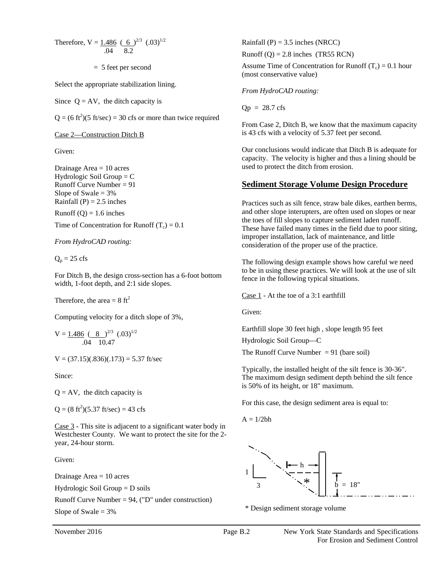Therefore,  $V = 1.486 \left( 6 \right)^{2/3} (0.03)^{1/2}$  Rainfall (P) = 3.5 inches (NRCC)

Select the appropriate stabilization lining.

Since  $Q = AV$ , the ditch capacity is

 $Q = (6 \text{ ft}^2)(5 \text{ ft/sec}) = 30 \text{ cfs or more than twice required}$ 

Runoff Curve Number =  $91$ Hydrologic Soil Group = C Slope of Swale  $= 3\%$ 

Runoff  $(Q) = 1.6$  inches

Time of Concentration for Runoff  $(T_c) = 0.1$ 

 For Ditch B, the design cross-section has a 6-foot bottom width, 1-foot depth, and 2:1 side slopes.

Computing velocity for a ditch slope of 3%,

 .04 10.47

 $V = (37.15)(0.836)(0.173) = 5.37$  ft/sec

Since:

 $Q = AV$ , the ditch capacity is

 $Q = (8 \text{ ft}^2)(5.37 \text{ ft/sec}) = 43 \text{ cfs}$ 

Case 3 - This site is adjacent to a significant water body in Westchester County. We want to protect the site for the 2 year, 24-hour storm.

Given:

Drainage Area  $= 10$  acres

 $Hydrologic$  Soil Group  $= D$  soils

Runoff Curve Number = 94, ("D" under construction)

Rainfall (P) =  $3.5$  inches (NRCC)

.04 8.2 Runoff (Q) = 2.8 inches (TR55 RCN)

 $= 5$  feet per second Assume Time of Concentration for Runoff (T<sub>c</sub>) = 0.1 hour (most conservative value)

*From HydroCAD routing:* 

 $Qp = 28.7$  cfs

Case 2—Construction Ditch B is 43 cfs with a velocity of 5.37 feet per second. From Case 2, Ditch B, we know that the maximum capacity

Given: Our conclusions would indicate that Ditch B is adequate for capacity. The velocity is higher and thus a lining should be Drainage Area = 10 acres used to protect the ditch from erosion.

#### **<u>Sediment Storage Volume Design Procedure</u>**

 the toes of fill slopes to capture sediment laden runoff. These have failed many times in the field due to poor siting, *From HydroCAD routing:* improper installation, lack of maintenance, and little consideration of the proper use of the practice Rainfall  $(P) = 2.5$  inches Practices such as silt fence, straw bale dikes, earthen berms, and other slope interupters, are often used on slopes or near consideration of the proper use of the practice.

 $Q_p = 25 \text{ cfs}$  The following design example shows how careful we need to be in using these practices. We will look at the use of silt fence in the following typical situations.

Therefore, the area =  $8 \text{ ft}^2$  Case 1 - At the toe of a 3:1 earthfill

Given:

Earthfill slope 30 feet high , slope length 95 feet

Hydrologic Soil Group—C

The Runoff Curve Number  $= 91$  (bare soil)

 Typically, the installed height of the silt fence is 30-36". The maximum design sediment depth behind the silt fence is 50% of its height, or 18" maximum.

For this case, the design sediment area is equal to:

 $A = 1/2bh$ 



Slope of Swale  $= 3\%$  \* Design sediment storage volume

November 2016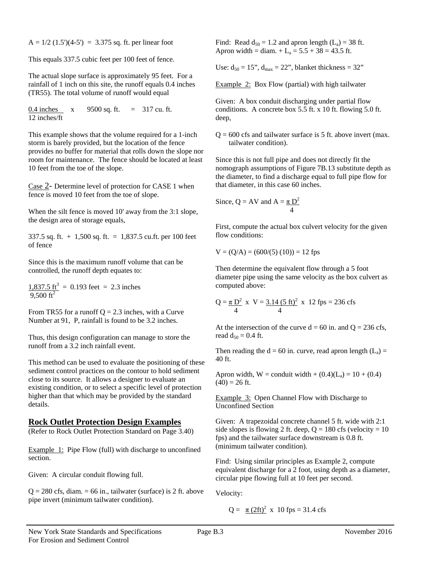$A = 1/2$  (1.5')(4-5') = 3.375 sq. ft. per linear foot

This equals 337.5 cubic feet per 100 feet of fence.

The actual slope surface is approximately 95 feet. For a rainfall of 1 inch on this site, the runoff equals 0.4 inches (TR55). The total volume of runoff would equal

0.4 inches x 9500 sq. ft. = 317 cu. ft. 12 inches/ft

This example shows that the volume required for a 1-inch storm is barely provided, but the location of the fence provides no buffer for material that rolls down the slope nor room for maintenance. The fence should be located at least 10 feet from the toe of the slope.

Case 2- Determine level of protection for CASE 1 when fence is moved 10 feet from the toe of slope.

When the silt fence is moved 10' away from the 3:1 slope, the design area of storage equals,

337.5 sq. ft. + 1,500 sq. ft. = 1,837.5 cu.ft. per 100 feet of fence

Since this is the maximum runoff volume that can be controlled, the runoff depth equates to:

 $1,837.5 \text{ ft}^3 = 0.193 \text{ feet} = 2.3 \text{ inches}$ 9.500  $\rm ft^2$ 

From TR55 for a runoff  $Q = 2.3$  inches, with a Curve Number at 91, P, rainfall is found to be 3.2 inches.

Thus, this design configuration can manage to store the runoff from a 3.2 inch rainfall event.

This method can be used to evaluate the positioning of these sediment control practices on the contour to hold sediment close to its source. It allows a designer to evaluate an existing condition, or to select a specific level of protection higher than that which may be provided by the standard details.

#### **Rock Outlet Protection Design Examples**

(Refer to Rock Outlet Protection Standard on Page 3.40)

Example 1: Pipe Flow (full) with discharge to unconfined section.

Given: A circular conduit flowing full.

 $Q = 280$  cfs, diam. = 66 in., tailwater (surface) is 2 ft. above pipe invert (minimum tailwater condition).

Find: Read  $d_{50} = 1.2$  and apron length  $(L_a) = 38$  ft. Apron width = diam.  $+ L_a = 5.5 + 38 = 43.5$  ft.

Use:  $d_{50} = 15$ ",  $d_{max} = 22$ ", blanket thickness = 32"

Example 2: Box Flow (partial) with high tailwater

 Given: A box conduit discharging under partial flow conditions. A concrete box 5.5 ft. x 10 ft. flowing 5.0 ft. deep,

 $Q = 600$  cfs and tailwater surface is 5 ft. above invert (max. tailwater condition).

 Since this is not full pipe and does not directly fit the nomograph assumptions of Figure 7B.13 substitute depth as the diameter, to find a discharge equal to full pipe flow for that diameter, in this case 60 inches.

Since, 
$$
Q = AV
$$
 and  $A = \frac{\pi D^2}{4}$ 

First, compute the actual box culvert velocity for the given flow conditions:

$$
V = (Q/A) = (600/(5) (10)) = 12
$$
fps

 Then determine the equivalent flow through a 5 foot diameter pipe using the same velocity as the box culvert as computed above:

$$
Q = \frac{\pi D^2}{4} \times V = \frac{3.14 (5 \text{ ft})^2}{4} \times 12 \text{fps} = 236 \text{ cfs}
$$

At the intersection of the curve  $d = 60$  in. and  $Q = 236$  cfs, read  $d_{50} = 0.4$  ft.

Then reading the  $d = 60$  in. curve, read apron length  $(L_a) =$ 40 ft.

Apron width,  $W =$  conduit width +  $(0.4)(L_a) = 10 + (0.4)$  $(40) = 26$  ft.

**Example 3: Open Channel Flow with Discharge to** Unconfined Section

 Given: A trapezoidal concrete channel 5 ft. wide with 2:1 side slopes is flowing 2 ft. deep,  $Q = 180$  cfs (velocity = 10) fps) and the tailwater surface downstream is 0.8 ft. (minimum tailwater condition).

Find: Using similar principles as Example 2, compute equivalent discharge for a 2 foot, using depth as a diameter, circular pipe flowing full at 10 feet per second.

Velocity:

 $Q = \pi (2\text{ft})^2$  x 10 fps = 31.4 cfs

New York State Standards and Specifications Page B.3 November 2016 For Erosion and Sediment Control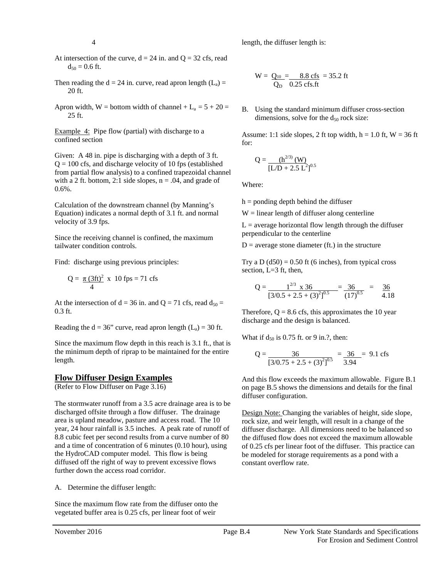length, the diffuser length is:

- $d_{50} = 0.6$  ft. At intersection of the curve,  $d = 24$  in. and  $Q = 32$  cfs, read
- Then reading the  $d = 24$  in. curve, read apron length  $(L_a) =$  $20$  ft.
- Apron width, W = bottom width of channel +  $L_a = 5 + 20 =$ 25 ft.

Example 4: Pipe flow (partial) with discharge to a confined section

 Given: A 48 in. pipe is discharging with a depth of 3 ft.  $Q = 100$  cfs, and discharge velocity of 10 fps (established from partial flow analysis) to a confined trapezoidal channel with a 2 ft. bottom, 2:1 side slopes,  $n = .04$ , and grade of 0.6%.

 velocity of 3.9 fps. Calculation of the downstream channel (by Manning's Equation) indicates a normal depth of 3.1 ft. and normal

 Since the receiving channel is confined, the maximum tailwater condition controls.

Find: discharge using previous principles:

$$
Q = \frac{\pi (3ft)^2}{4} \times 10 \text{ fps} = 71 \text{ cfs}
$$

At the intersection of  $d = 36$  in. and  $Q = 71$  cfs, read  $d_{50} =$ 0.3 ft.

Reading the  $d = 36$ " curve, read apron length  $(L_a) = 30$  ft.

 the minimum depth of riprap to be maintained for the entire Since the maximum flow depth in this reach is 3.1 ft., that is length.

#### **Flow Diffuser Design Examples**

(Refer to Flow Diffuser on Page 3.16)

 8.8 cubic feet per second results from a curve number of 80 diffused off the right of way to prevent excessive flows further down the access road corridor. The stormwater runoff from a 3.5 acre drainage area is to be discharged offsite through a flow diffuser. The drainage area is upland meadow, pasture and access road. The 10 year, 24 hour rainfall is 3.5 inches. A peak rate of runoff of and a time of concentration of 6 minutes (0.10 hour), using the HydroCAD computer model. This flow is being

A. Determine the diffuser length:

 vegetated buffer area is 0.25 cfs, per linear foot of weir Since the maximum flow rate from the diffuser onto the diffused off the right of way to prevent excessive flows<br>further down the access road corridor.<br>A. Determine the diffuser length:<br>Since the maximum flow rate from the diffuser onto the<br>vegetated buffer area is 0.25 cfs, pe

$$
W = \frac{Q_{10}}{Q_D} = \frac{8.8 \text{ cfs}}{0.25 \text{ cfs} \cdot \text{ft}} = 35.2 \text{ ft}
$$

B. Using the standard minimum diffuser cross-section dimensions, solve for the  $d_{50}$  rock size:

Assume: 1:1 side slopes, 2 ft top width,  $h = 1.0$  ft,  $W = 36$  ft for:

$$
Q = \frac{(h^{2/3}) (W)}{[L/D + 2.5 L^2]^{0.5}}
$$
  
Where:

h = ponding depth behind the diffuser

 $W =$  linear length of diffuser along centerline

 $L =$  average horizontal flow length through the diffuser perpendicular to the centerline

 $D =$  average stone diameter (ft.) in the structure

Try a D  $(d50) = 0.50$  ft (6 inches), from typical cross section, L=3 ft, then,

$$
Q = \frac{1^{2/3} \times 36}{[3/0.5 + 2.5 + (3)^2]^{0.5}} = \frac{36}{(17)^{0.5}} = \frac{36}{4.18}
$$

 discharge and the design is balanced. Therefore,  $Q = 8.6$  cfs, this approximates the 10 year

What if  $d_{50}$  is 0.75 ft. or 9 in.?, then:

$$
Q = \frac{36}{[3/0.75 + 2.5 + (3)^2]^{0.5}} = \frac{36}{3.94} = 9.1 \text{ cfs}
$$

diffuser configuration. diffuser configuration.<br><u>Design Note: Changing</u> the variables of height, side slope, And this flow exceeds the maximum allowable. Figure B.1 on page B.5 shows the dimensions and details for the final

 rock size, and weir length, will result in a change of the constant overflow rate. diffuser discharge. All dimensions need to be balanced so the diffused flow does not exceed the maximum allowable of 0.25 cfs per linear foot of the diffuser. This practice can be modeled for storage requirements as a pond with a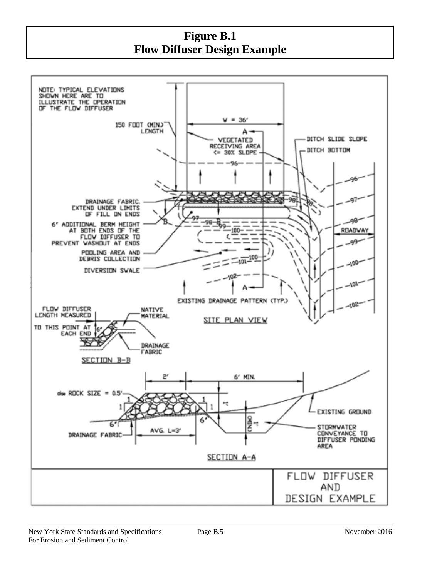**Figure B.1 Flow Diffuser Design Example** 

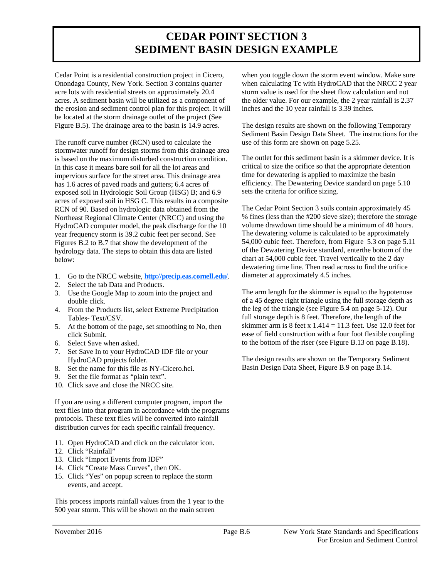### **CEDAR POINT SECTION 3 SEDIMENT BASIN DESIGN EXAMPLE**

Cedar Point is a residential construction project in Cicero, Onondaga County, New York. Section 3 contains quarter acre lots with residential streets on approximately 20.4 acres. A sediment basin will be utilized as a component of the erosion and sediment control plan for this project. It will be located at the storm drainage outlet of the project (See

 Figure B.5). The drainage area to the basin is 14.9 acres. The runoff curve number (RCN) used to calculate the The runoff curve number (RCN) used to calculate the has 1.6 acres of paved roads and gutters; 6.4 acres of below: stormwater runoff for design storms from this drainage area is based on the maximum disturbed construction condition. In this case it means bare soil for all the lot areas and impervious surface for the street area. This drainage area exposed soil in Hydrologic Soil Group (HSG) B; and 6.9 acres of exposed soil in HSG C. This results in a composite RCN of 90. Based on hydrologic data obtained from the Northeast Regional Climate Center (NRCC) and using the HydroCAD computer model, the peak discharge for the 10 year frequency storm is 39.2 cubic feet per second. See Figures B.2 to B.7 that show the development of the hydrology data. The steps to obtain this data are listed

- below:<br>1. Go to the NRCC website, **<u>http://precip.eas.cornell.edu/</u>**.
- 2. Select the tab Data and Products.
- 3. Use the Google Map to zoom into the project and double click.
- 4.From the Products list, select Extreme Precipitation Tables- Text/CSV.
- 5. At the bottom of the page, set smoothing to No, then click Submit.
- 6. Select Save when asked.
- 7. Set Save In to your HydroCAD IDF file or your HydroCAD projects folder.
- 8. Set the name for this file as NY-Cicero.hci.
- 9. Set the file format as "plain text".
- 10. Click save and close the NRCC site.

 protocols. These text files will be converted into rainfall If you are using a different computer program, import the text files into that program in accordance with the programs distribution curves for each specific rainfall frequency.

- 11. Open HydroCAD and click on the calculator icon.
- 12. Click "Rainfall"
- 13. Click "Import Events from IDF"
- 14. Click "Create Mass Curves", then OK.
- 15. Click "Yes" on popup screen to replace the storm events, and accept.

This process imports rainfall values from the 1 year to the 500 year storm. This will be shown on the main screen

when you toggle down the storm event window. Make sure when calculating Tc with HydroCAD that the NRCC 2 year storm value is used for the sheet flow calculation and not the older value. For our example, the 2 year rainfall is 2.37 inches and the 10 year rainfall is 3.39 inches.

The design results are shown on the following Temporary Sediment Basin Design Data Sheet. The instructions for the use of this form are shown on page 5.25.

The outlet for this sediment basin is a skimmer device. It is critical to size the orifice so that the appropriate detention time for dewatering is applied to maximize the basin efficiency. The Dewatering Device standard on page 5.10 sets the criteria for orifice sizing.

 54,000 cubic feet. Therefore, from Figure 5.3 on page 5.11 The Cedar Point Section 3 soils contain approximately 45 % fines (less than the #200 sieve size); therefore the storage volume drawdown time should be a minimum of 48 hours. The dewatering volume is calculated to be approximately of the Dewatering Device standard, enterthe bottom of the chart at 54,000 cubic feet. Travel vertically to the 2 day dewatering time line. Then read across to find the orifice diameter at approximately 4.5 inches.

 to the bottom of the riser (see Figure B.13 on page B.18). The arm length for the skimmer is equal to the hypotenuse of a 45 degree right triangle using the full storage depth as the leg of the triangle (see Figure 5.4 on page 5-12). Our full storage depth is 8 feet. Therefore, the length of the skimmer arm is 8 feet x  $1.414 = 11.3$  feet. Use 12.0 feet for ease of field construction with a four foot flexible coupling

 The design results are shown on the Temporary Sediment Basin Design Data Sheet, Figure B.9 on page B.14.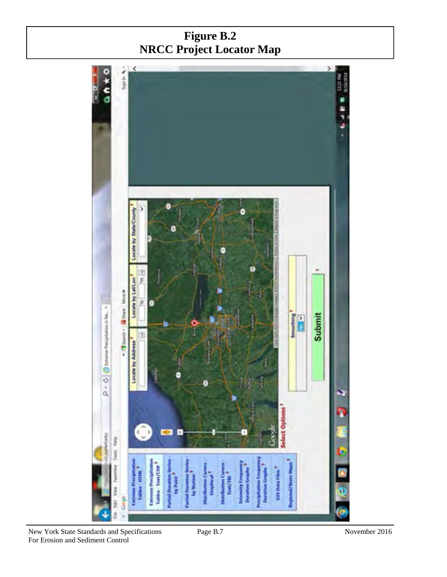## **NRCC Project Locator MapFigure B.2**



New York State Standards and Specifications Page B.7 November 2016 For Erosion and Sediment Control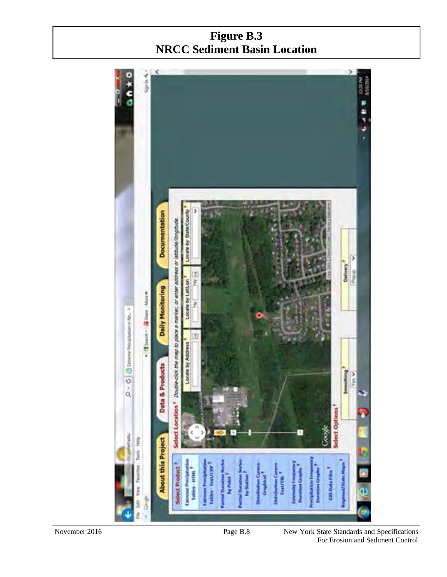## **Figure B.3 NRCC Sediment Basin Location**



 For Erosion and Sediment Control Page B.8 New York State Standards and Specifications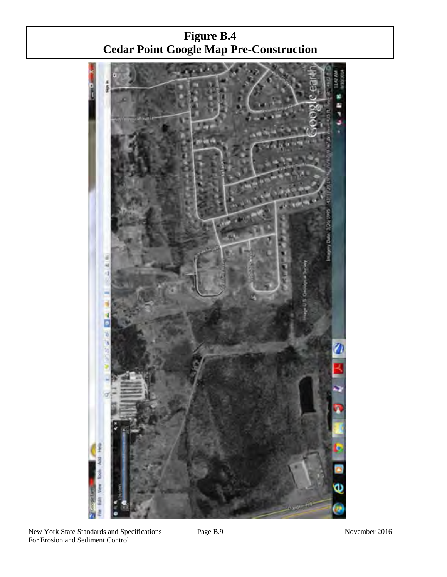**Figure B.4 Cedar Point Google Map Pre-Construction** 

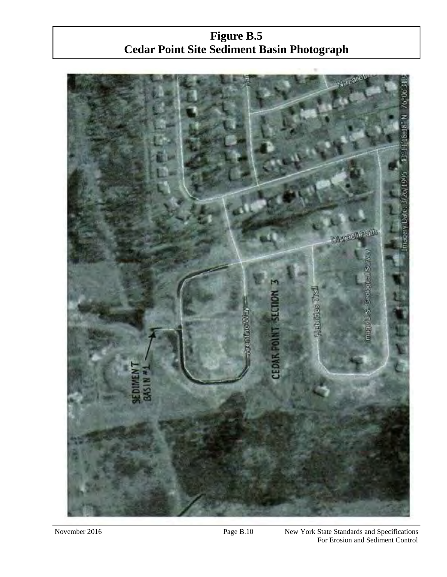**Figure B.5 Cedar Point Site Sediment Basin Photograph** 



November 2016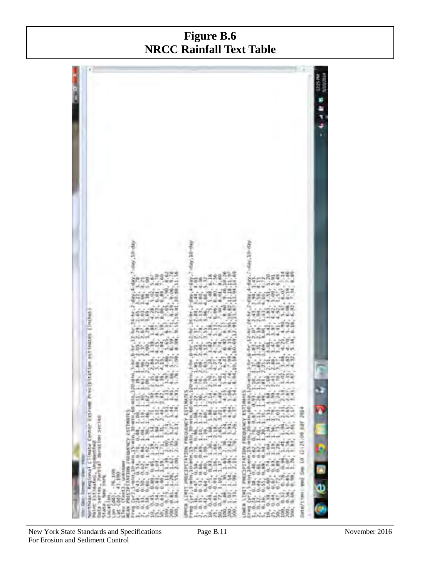## **Figure B.6 NRCC Rainfall Text Table**



New York State Standards and Specifications Page B.11 November 2016 For Erosion and Sediment Control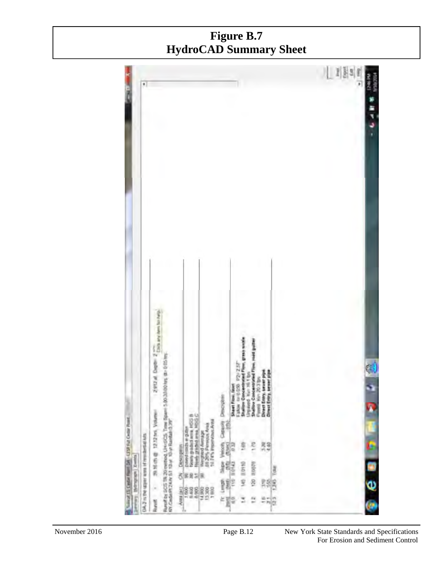### **Figure B.7 HydroCAD Summary Sheet**

|                                               | ×                                       |                                                                                                                                                      |                                                                                    |                                                                        |                                                   |                                                                                 |                                                                        |                                                                       |                | 儿 刘图5 |  |
|-----------------------------------------------|-----------------------------------------|------------------------------------------------------------------------------------------------------------------------------------------------------|------------------------------------------------------------------------------------|------------------------------------------------------------------------|---------------------------------------------------|---------------------------------------------------------------------------------|------------------------------------------------------------------------|-----------------------------------------------------------------------|----------------|-------|--|
| Nated 15 Detail Rent DA - USR For Creat Point | DAZ Is the squer was at translated kits | <b>Will have Alam Rock</b><br>2912AL Dept 27<br>Rundi by SCS TR 20 werdog, UH-GCS, Time Board 5.00.20.00 km; de 0.05 in<br>۰<br>State 1212 in Volume | New griddians (CCB)<br>New griddians hoc C<br>provid reads a guter<br>Description: | Vergrind Avenups<br>18 20% Permissis Avenu<br>19 24% Imperiasion Avenu | Dracygies<br>e de<br>Ã<br>Velocity<br><b>Read</b> | False recognized<br>Studiow Concentrated P<br>Shawl Provi. 5<br><b>SE</b><br>ED | Shallow Concentrated F<br>Simulated Kerns 1 by<br>Figure Nov 2020<br>e | Direct Entry, sever pip<br><b>Hammer</b><br><b>Direct Entry</b><br>開幕 | ı              |       |  |
| <b>Hydrograph</b>   <b>Zumbis</b>             |                                         | l,                                                                                                                                                   | 8<br>家屋製具                                                                          | 3388                                                                   | 糧<br>$\hat{\mathbf{z}}^{\text{e}}$<br>Î           | <b>B.0410</b><br>9A                                                             | 35075<br>Ŗ                                                             | 夥                                                                     | jda<br>36<br>۱ |       |  |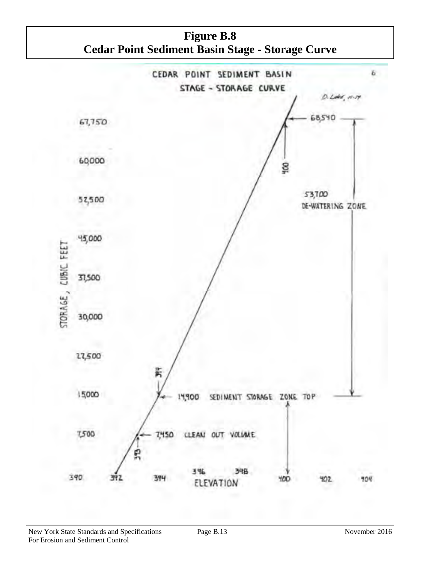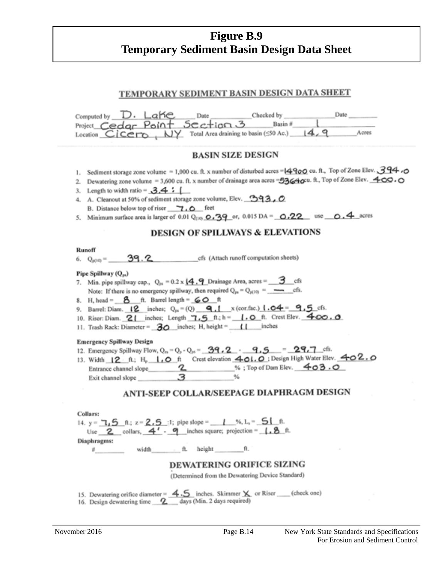### **Temporary Sediment Basin Design Data SheetFigure B.9**

### TEMPORARY SEDIMENT BASIN DESIGN DATA SHEET

| Computed by $D \cdot \text{LaHe}$ Date<br>Date ______<br>Project Cedar Point Section 3 Basin #<br>Location $Cicero$ , $NY$ Total Area draining to basin ( $50$ Ac.) $14.9$<br>Acres                                                                                                                                                                                                                                                                                                                                                                                                                                                                                                                                                                                                                                                                                                                                          |
|------------------------------------------------------------------------------------------------------------------------------------------------------------------------------------------------------------------------------------------------------------------------------------------------------------------------------------------------------------------------------------------------------------------------------------------------------------------------------------------------------------------------------------------------------------------------------------------------------------------------------------------------------------------------------------------------------------------------------------------------------------------------------------------------------------------------------------------------------------------------------------------------------------------------------|
| <b>BASIN SIZE DESIGN</b>                                                                                                                                                                                                                                                                                                                                                                                                                                                                                                                                                                                                                                                                                                                                                                                                                                                                                                     |
| 1. Sediment storage zone volume = 1,000 cu. ft. x number of disturbed acres = $4900$ cu. ft., Top of Zone Elev. 394.<br>Dewatering zone volume = 3,600 cu. ft. x number of drainage area acres = 53640cu. ft., Top of Zone Elev. $\triangle$ OO.<br>2.<br>3. Length to width ratio = $3.4:1$<br>4. A. Cleanout at 50% of sediment storage zone volume, Elev. 393, 0<br>B. Distance below top of riser 7.0 feet<br>5. Minimum surface area is larger of 0.01 Q <sub>00</sub> $\Omega$ , $\frac{39}{9}$ or, 0.015 DA = $\Omega$ , 22 use $\Omega$ , 4 acres                                                                                                                                                                                                                                                                                                                                                                    |
| <b>DESIGN OF SPILLWAYS &amp; ELEVATIONS</b>                                                                                                                                                                                                                                                                                                                                                                                                                                                                                                                                                                                                                                                                                                                                                                                                                                                                                  |
| Runoff<br>6. $Q_{p(10)} =$ 39.2<br>cfs (Attach runoff computation sheets)<br>Pipe Spillway (Qpt)<br>7. Min. pipe spillway cap., $Q_{ps} = 0.2 \times \underline{14.9}$ Drainage Area, acres = 3 cfs<br>8. H, head = $8$ ft. Barrel length = $60$ ft<br>9. Barrel: Diam. $12$ inches; $Q_{\text{pt}} = (Q)$ <b>9.1</b> x (cor.fac.) $1.04 = 9.5$ cfs.<br>10. Riser: Diam. 21 inches; Length 7.5 ft.; h = 1.0 ft. Crest Elev. 400.0<br>11. Trash Rack: Diameter = $\overline{30}$ inches; H, height = $\sqrt{1}$ inches<br><b>Emergency Spillway Design</b><br>12. Emergency Spillway Flow, Q <sub>10</sub> = Q <sub>p</sub> - Q <sub>19</sub> = _39, 2_ - _9, 5_ = _29, 7_cfs.<br>13. Width 12 ft; H <sub>p</sub> 1, O ft Crest elevation 401. O : Design High Water Elev. 402. O<br>Entrance channel slope 2_______________%; Top of Dam Elev. 403.0<br>3<br>Exit channel slope<br>ANTI-SEEP COLLAR/SEEPAGE DIAPHRAGM DESIGN |
| Collars:<br>14. y = $\frac{1}{2}$ , 5 ft; z = 2, 5 :1; pipe slope = 1 %, L <sub>2</sub> = 51 ft.<br>Use $2$ collars, $4'$ - $9$ inches square; projection = $1.8$ ft.<br>Diaphragms:<br>width ft.<br>height<br><b>ft.</b><br>#<br>DEWATERING ORIFICE SIZING<br>(Determined from the Dewatering Device Standard)                                                                                                                                                                                                                                                                                                                                                                                                                                                                                                                                                                                                              |
| 15. Dewatering orifice diameter = $4.5$ inches. Skimmer X or Riser ___ (check one)                                                                                                                                                                                                                                                                                                                                                                                                                                                                                                                                                                                                                                                                                                                                                                                                                                           |

16. Design dewatering time 2 days (Min. 2 days required)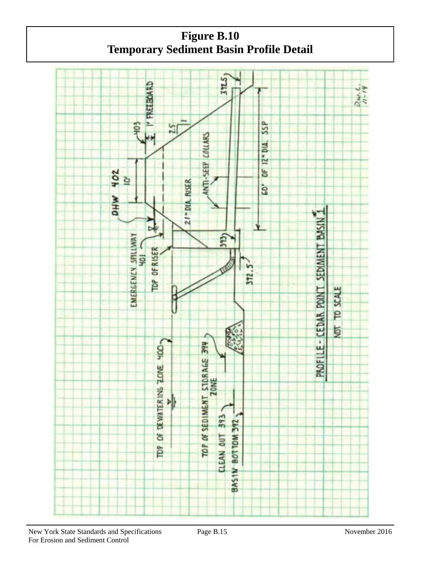

 **Temporary Sediment Basin Profile DetailFigure B.10** 

New York State Standards and Specifications Page B.15 November 2016 For Erosion and Sediment Control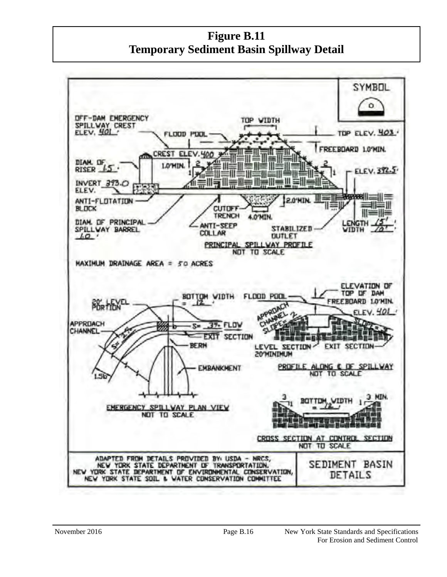**Figure B.11 Temporary Sediment Basin Spillway Detail** 

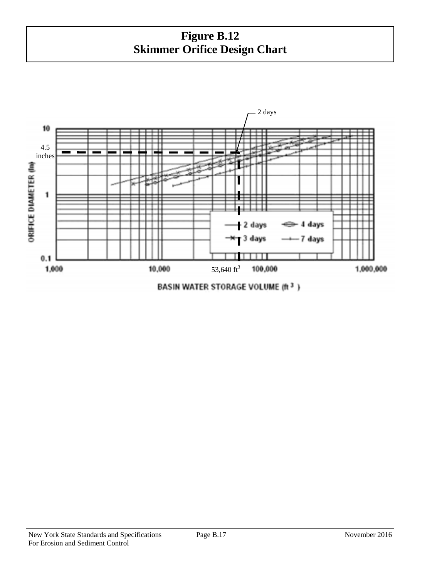## **Figure B.12 Skimmer Orifice Design Chart**